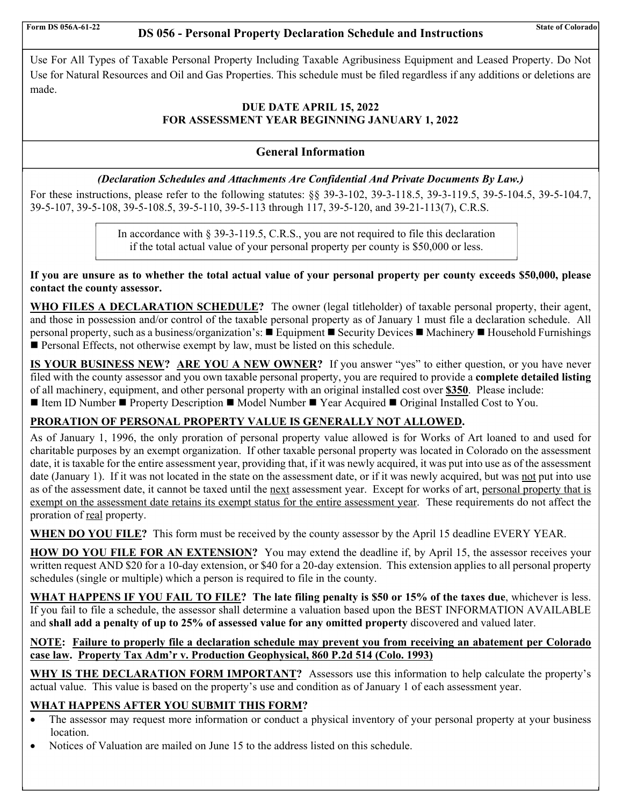# Form DS 056A-61-22 **DS 056 - Personal Property Declaration Schedule and Instructions** State of Colorado

 Use For All Types of Taxable Personal Property Including Taxable Agribusiness Equipment and Leased Property. Do Not Use for Natural Resources and Oil and Gas Properties. This schedule must be filed regardless if any additions or deletions are made.

# **DUE DATE APRIL 15, 2022 FOR ASSESSMENT YEAR BEGINNING JANUARY 1, 2022**

# **General Information**

# *(Declaration Schedules and Attachments Are Confidential And Private Documents By Law.)*

For these instructions, please refer to the following statutes: §§ 39-3-102, 39-3-118.5, 39-3-119.5, 39-5-104.5, 39-5-104.7, 39-5-107, 39-5-108, 39-5-108.5, 39-5-110, 39-5-113 through 117, 39-5-120, and 39-21-113(7), C.R.S.

> In accordance with § 39-3-119.5, C.R.S., you are not required to file this declaration if the total actual value of your personal property per county is \$50,000 or less.

**If you are unsure as to whether the total actual value of your personal property per county exceeds \$50,000, please contact the county assessor.** 

**WHO FILES A DECLARATION SCHEDULE?** The owner (legal titleholder) of taxable personal property, their agent, and those in possession and/or control of the taxable personal property as of January 1 must file a declaration schedule. All personal property, such as a business/organization's: ■ Equipment ■ Security Devices ■ Machinery ■ Household Furnishings **Personal Effects, not otherwise exempt by law, must be listed on this schedule.** 

**IS YOUR BUSINESS NEW? ARE YOU A NEW OWNER?** If you answer "yes" to either question, or you have never filed with the county assessor and you own taxable personal property, you are required to provide a **complete detailed listing** of all machinery, equipment, and other personal property with an original installed cost over **\$350**. Please include: ■ Item ID Number ■ Property Description ■ Model Number ■ Year Acquired ■ Original Installed Cost to You.

# **PRORATION OF PERSONAL PROPERTY VALUE IS GENERALLY NOT ALLOWED.**

As of January 1, 1996, the only proration of personal property value allowed is for Works of Art loaned to and used for charitable purposes by an exempt organization. If other taxable personal property was located in Colorado on the assessment date, it is taxable for the entire assessment year, providing that, if it was newly acquired, it was put into use as of the assessment date (January 1). If it was not located in the state on the assessment date, or if it was newly acquired, but was not put into use as of the assessment date, it cannot be taxed until the next assessment year. Except for works of art, personal property that is exempt on the assessment date retains its exempt status for the entire assessment year. These requirements do not affect the proration of real property.

**WHEN DO YOU FILE?** This form must be received by the county assessor by the April 15 deadline EVERY YEAR.

**HOW DO YOU FILE FOR AN EXTENSION?** You may extend the deadline if, by April 15, the assessor receives your written request AND \$20 for a 10-day extension, or \$40 for a 20-day extension. This extension applies to all personal property schedules (single or multiple) which a person is required to file in the county.

**WHAT HAPPENS IF YOU FAIL TO FILE? The late filing penalty is \$50 or 15% of the taxes due**, whichever is less. If you fail to file a schedule, the assessor shall determine a valuation based upon the BEST INFORMATION AVAILABLE and **shall add a penalty of up to 25% of assessed value for any omitted property** discovered and valued later.

# **NOTE: Failure to properly file a declaration schedule may prevent you from receiving an abatement per Colorado case law. Property Tax Adm'r v. Production Geophysical, 860 P.2d 514 (Colo. 1993)**

**WHY IS THE DECLARATION FORM IMPORTANT?** Assessors use this information to help calculate the property's actual value. This value is based on the property's use and condition as of January 1 of each assessment year.

# **WHAT HAPPENS AFTER YOU SUBMIT THIS FORM?**

- The assessor may request more information or conduct a physical inventory of your personal property at your business location.
- Notices of Valuation are mailed on June 15 to the address listed on this schedule.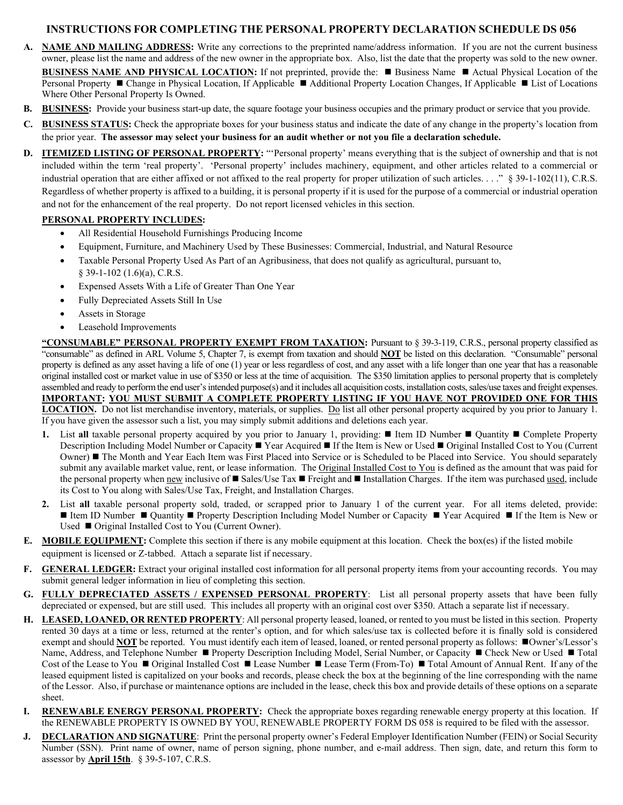### **INSTRUCTIONS FOR COMPLETING THE PERSONAL PROPERTY DECLARATION SCHEDULE DS 056**

- **A. NAME AND MAILING ADDRESS:** Write any corrections to the preprinted name/address information. If you are not the current business owner, please list the name and address of the new owner in the appropriate box. Also, list the date that the property was sold to the new owner. **BUSINESS NAME AND PHYSICAL LOCATION:** If not preprinted, provide the: **Business Name** Actual Physical Location of the Personal Property ■ Change in Physical Location, If Applicable ■ Additional Property Location Changes, If Applicable ■ List of Locations Where Other Personal Property Is Owned.
- **B. BUSINESS:** Provide your business start-up date, the square footage your business occupies and the primary product or service that you provide.
- **C. BUSINESS STATUS:** Check the appropriate boxes for your business status and indicate the date of any change in the property's location from the prior year. **The assessor may select your business for an audit whether or not you file a declaration schedule.**
- **D. ITEMIZED LISTING OF PERSONAL PROPERTY:** "'Personal property' means everything that is the subject of ownership and that is not included within the term 'real property'. 'Personal property' includes machinery, equipment, and other articles related to a commercial or industrial operation that are either affixed or not affixed to the real property for proper utilization of such articles. . . ." § 39-1-102(11), C.R.S. Regardless of whether property is affixed to a building, it is personal property if it is used for the purpose of a commercial or industrial operation and not for the enhancement of the real property. Do not report licensed vehicles in this section.

### **PERSONAL PROPERTY INCLUDES:**

- All Residential Household Furnishings Producing Income
- Equipment, Furniture, and Machinery Used by These Businesses: Commercial, Industrial, and Natural Resource
- Taxable Personal Property Used As Part of an Agribusiness, that does not qualify as agricultural, pursuant to, § 39-1-102 (1.6)(a), C.R.S.
- Expensed Assets With a Life of Greater Than One Year
- Fully Depreciated Assets Still In Use
- Assets in Storage
- Leasehold Improvements

**"CONSUMABLE" PERSONAL PROPERTY EXEMPT FROM TAXATION:** Pursuant to § 39-3-119, C.R.S., personal property classified as "consumable" as defined in ARL Volume 5, Chapter 7, is exempt from taxation and should **NOT** be listed on this declaration. "Consumable" personal property is defined as any asset having a life of one (1) year or less regardless of cost, and any asset with a life longer than one year that has a reasonable original installed cost or market value in use of \$350 or less at the time of acquisition. The \$350 limitation applies to personal property that is completely assembled and ready to perform the end user's intended purpose(s) and it includes all acquisition costs, installation costs, sales/use taxes and freight expenses. **IMPORTANT: YOU MUST SUBMIT A COMPLETE PROPERTY LISTING IF YOU HAVE NOT PROVIDED ONE FOR THIS LOCATION.** Do not list merchandise inventory, materials, or supplies. Do list all other personal property acquired by you prior to January 1. If you have given the assessor such a list, you may simply submit additions and deletions each year.

- **1.** List all taxable personal property acquired by you prior to January 1, providing:  $\blacksquare$  Item ID Number  $\blacksquare$  Ouantity  $\blacksquare$  Complete Property Description Including Model Number or Capacity ■ Year Acquired ■ If the Item is New or Used ■ Original Installed Cost to You (Current Owner) ■ The Month and Year Each Item was First Placed into Service or is Scheduled to be Placed into Service. You should separately submit any available market value, rent, or lease information. The Original Installed Cost to You is defined as the amount that was paid for the personal property when new inclusive of  $\blacksquare$  Sales/Use Tax  $\blacksquare$  Freight and  $\blacksquare$  Installation Charges. If the item was purchased used, include its Cost to You along with Sales/Use Tax, Freight, and Installation Charges.
- **2.** List **all** taxable personal property sold, traded, or scrapped prior to January 1 of the current year. For all items deleted, provide: Item ID Number  $\blacksquare$  Quantity  $\blacksquare$  Property Description Including Model Number or Capacity  $\blacksquare$  Year Acquired  $\blacksquare$  If the Item is New or Used ■ Original Installed Cost to You (Current Owner).
- **E. MOBILE EQUIPMENT:** Complete this section if there is any mobile equipment at this location. Check the box(es) if the listed mobile equipment is licensed or Z-tabbed. Attach a separate list if necessary.
- **F. GENERAL LEDGER:** Extract your original installed cost information for all personal property items from your accounting records. You may submit general ledger information in lieu of completing this section.
- **G. FULLY DEPRECIATED ASSETS / EXPENSED PERSONAL PROPERTY**: List all personal property assets that have been fully depreciated or expensed, but are still used. This includes all property with an original cost over \$350. Attach a separate list if necessary.
- **H. LEASED, LOANED, OR RENTED PROPERTY**: All personal property leased, loaned, or rented to you must be listed in this section. Property rented 30 days at a time or less, returned at the renter's option, and for which sales/use tax is collected before it is finally sold is considered exempt and should NOT be reported. You must identify each item of leased, loaned, or rented personal property as follows:  $\blacksquare$ Owner's/Lessor's Name, Address, and Telephone Number ■ Property Description Including Model, Serial Number, or Capacity ■ Check New or Used ■ Total Cost of the Lease to You ■ Original Installed Cost ■ Lease Number ■ Lease Term (From-To) ■ Total Amount of Annual Rent. If any of the leased equipment listed is capitalized on your books and records, please check the box at the beginning of the line corresponding with the name of the Lessor. Also, if purchase or maintenance options are included in the lease, check this box and provide details of these options on a separate sheet.
- **I. RENEWABLE ENERGY PERSONAL PROPERTY:** Check the appropriate boxes regarding renewable energy property at this location. If the RENEWABLE PROPERTY IS OWNED BY YOU, RENEWABLE PROPERTY FORM DS 058 is required to be filed with the assessor.
- **J. DECLARATION AND SIGNATURE**: Print the personal property owner's Federal Employer Identification Number (FEIN) or Social Security Number (SSN). Print name of owner, name of person signing, phone number, and e-mail address. Then sign, date, and return this form to assessor by **April 15th**. § 39-5-107, C.R.S.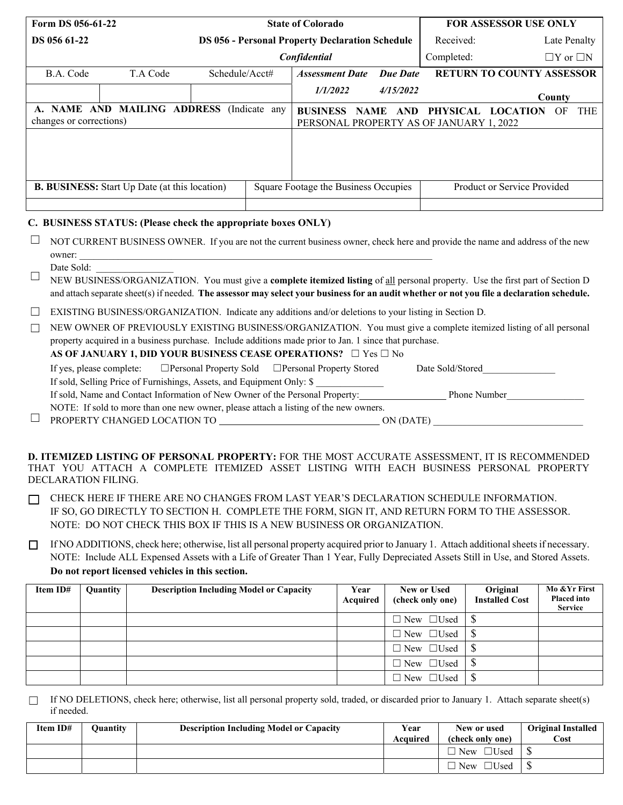| Form DS 056-61-22                                                    |                                                                                                                               |                |                                      |                                         | <b>State of Colorado</b>                               |                 |                             | <b>FOR ASSESSOR USE ONLY</b>     |                      |  |
|----------------------------------------------------------------------|-------------------------------------------------------------------------------------------------------------------------------|----------------|--------------------------------------|-----------------------------------------|--------------------------------------------------------|-----------------|-----------------------------|----------------------------------|----------------------|--|
| DS 056 61-22                                                         |                                                                                                                               |                |                                      |                                         | <b>DS 056 - Personal Property Declaration Schedule</b> |                 |                             | Late Penalty                     |                      |  |
|                                                                      |                                                                                                                               |                |                                      | Confidential                            |                                                        |                 | Completed:                  |                                  | $\Box Y$ or $\Box N$ |  |
| B.A. Code                                                            | T.A Code                                                                                                                      | Schedule/Acct# |                                      | <b>Assessment Date</b>                  |                                                        | <b>Due Date</b> |                             | <b>RETURN TO COUNTY ASSESSOR</b> |                      |  |
|                                                                      |                                                                                                                               |                |                                      | 1/1/2022                                |                                                        | 4/15/2022       |                             |                                  | County               |  |
| A. NAME AND MAILING ADDRESS (Indicate any<br>changes or corrections) | <b>BUSINESS NAME</b>                                                                                                          |                | AND                                  | PERSONAL PROPERTY AS OF JANUARY 1, 2022 | PHYSICAL LOCATION                                      | OF              | THE                         |                                  |                      |  |
|                                                                      |                                                                                                                               |                |                                      |                                         |                                                        |                 |                             |                                  |                      |  |
| <b>B. BUSINESS:</b> Start Up Date (at this location)                 |                                                                                                                               |                | Square Footage the Business Occupies |                                         |                                                        |                 | Product or Service Provided |                                  |                      |  |
| C. BUSINESS STATUS: (Please check the appropriate boxes ONLY)        |                                                                                                                               |                |                                      |                                         |                                                        |                 |                             |                                  |                      |  |
| owner:                                                               | NOT CURRENT BUSINESS OWNER. If you are not the current business owner, check here and provide the name and address of the new |                |                                      |                                         |                                                        |                 |                             |                                  |                      |  |

#### Date Sold:

NEW BUSINESS/ORGANIZATION. You must give a **complete itemized listing** of all personal property. Use the first part of Section D and attach separate sheet(s) if needed. **The assessor may select your business for an audit whether or not you file a declaration schedule.**  ☐

| $\Box$ EXISTING BUSINESS/ORGANIZATION. Indicate any additions and/or deletions to your listing in Section D. |  |  |
|--------------------------------------------------------------------------------------------------------------|--|--|
|                                                                                                              |  |  |

□ NEW OWNER OF PREVIOUSLY EXISTING BUSINESS/ORGANIZATION. You must give a complete itemized listing of all personal property acquired in a business purchase. Include additions made prior to Jan. 1 since that purchase.

### **AS OF JANUARY 1, DID YOUR BUSINESS CEASE OPERATIONS?** □ Yes □ No

| If yes, please complete:                                                                     |                                                                       | $\Box$ Personal Property Sold $\Box$ Personal Property Stored                        | Date Sold/Stored |  |  |  |
|----------------------------------------------------------------------------------------------|-----------------------------------------------------------------------|--------------------------------------------------------------------------------------|------------------|--|--|--|
|                                                                                              | If sold, Selling Price of Furnishings, Assets, and Equipment Only: \$ |                                                                                      |                  |  |  |  |
| If sold, Name and Contact Information of New Owner of the Personal Property:<br>Phone Number |                                                                       |                                                                                      |                  |  |  |  |
|                                                                                              |                                                                       | NOTE: If sold to more than one new owner, please attach a listing of the new owners. |                  |  |  |  |
| PROPERTY CHANGED LOCATION TO                                                                 |                                                                       |                                                                                      | ON (DATE)        |  |  |  |

**D. ITEMIZED LISTING OF PERSONAL PROPERTY:** FOR THE MOST ACCURATE ASSESSMENT, IT IS RECOMMENDED THAT YOU ATTACH A COMPLETE ITEMIZED ASSET LISTING WITH EACH BUSINESS PERSONAL PROPERTY DECLARATION FILING.

◯ CHECK HERE IF THERE ARE NO CHANGES FROM LAST YEAR'S DECLARATION SCHEDULE INFORMATION. IF SO, GO DIRECTLY TO SECTION H. COMPLETE THE FORM, SIGN IT, AND RETURN FORM TO THE ASSESSOR. NOTE: DO NOT CHECK THIS BOX IF THIS IS A NEW BUSINESS OR ORGANIZATION.

□ If NO ADDITIONS, check here; otherwise, list all personal property acquired prior to January 1. Attach additional sheets if necessary. NOTE: Include ALL Expensed Assets with a Life of Greater Than 1 Year, Fully Depreciated Assets Still in Use, and Stored Assets. **Do not report licensed vehicles in this section.**

| Item ID# | Quantity | <b>Description Including Model or Capacity</b> | Year<br>Acquired | New or Used<br>(check only one) | Original<br><b>Installed Cost</b> | Mo & Yr First<br><b>Placed into</b><br><b>Service</b> |
|----------|----------|------------------------------------------------|------------------|---------------------------------|-----------------------------------|-------------------------------------------------------|
|          |          |                                                |                  | $\Box$ New $\Box$ Used          |                                   |                                                       |
|          |          |                                                |                  | $\Box$ New $\Box$ Used          |                                   |                                                       |
|          |          |                                                |                  | $\Box$ New $\Box$ Used          |                                   |                                                       |
|          |          |                                                |                  | $\Box$ New $\Box$ Used          |                                   |                                                       |
|          |          |                                                |                  | $\Box$ New $\Box$ Used          |                                   |                                                       |

If NO DELETIONS, check here; otherwise, list all personal property sold, traded, or discarded prior to January 1. Attach separate sheet(s) if needed.  $\Box$ 

| Item ID# | Ouantity | <b>Description Including Model or Capacity</b> | Year<br>Acquired | New or used<br>(check only one) | <b>Original Installed</b><br>Cost |
|----------|----------|------------------------------------------------|------------------|---------------------------------|-----------------------------------|
|          |          |                                                |                  | $\Box$ Used<br>$\Box$ New       |                                   |
|          |          |                                                |                  | $\Box$ Used<br>$\Box$ New       |                                   |